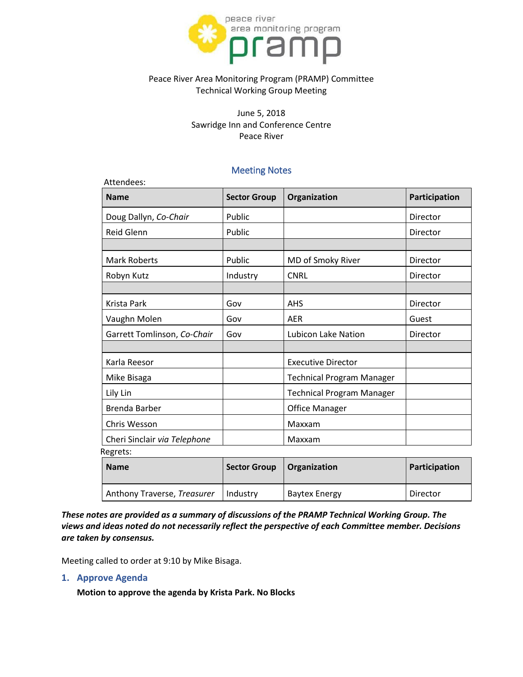

## Peace River Area Monitoring Program (PRAMP) Committee Technical Working Group Meeting

June 5, 2018 Sawridge Inn and Conference Centre Peace River

# Meeting Notes

| Attendees:                   |                     |                                  |               |
|------------------------------|---------------------|----------------------------------|---------------|
| <b>Name</b>                  | <b>Sector Group</b> | Organization                     | Participation |
| Doug Dallyn, Co-Chair        | Public              |                                  | Director      |
| Reid Glenn                   | Public              |                                  | Director      |
|                              |                     |                                  |               |
| <b>Mark Roberts</b>          | Public              | MD of Smoky River                | Director      |
| Robyn Kutz                   | Industry            | <b>CNRL</b>                      | Director      |
|                              |                     |                                  |               |
| Krista Park                  | Gov                 | <b>AHS</b>                       | Director      |
| Vaughn Molen                 | Gov                 | <b>AER</b>                       | Guest         |
| Garrett Tomlinson, Co-Chair  | Gov                 | Lubicon Lake Nation              | Director      |
|                              |                     |                                  |               |
| Karla Reesor                 |                     | <b>Executive Director</b>        |               |
| Mike Bisaga                  |                     | <b>Technical Program Manager</b> |               |
| Lily Lin                     |                     | <b>Technical Program Manager</b> |               |
| <b>Brenda Barber</b>         |                     | <b>Office Manager</b>            |               |
| Chris Wesson                 |                     | Maxxam                           |               |
| Cheri Sinclair via Telephone |                     | Maxxam                           |               |
| Regrets:                     |                     |                                  |               |
| <b>Name</b>                  | <b>Sector Group</b> | Organization                     | Participation |
| Anthony Traverse, Treasurer  | Industry            | <b>Baytex Energy</b>             | Director      |

*These notes are provided as a summary of discussions of the PRAMP Technical Working Group. The views and ideas noted do not necessarily reflect the perspective of each Committee member. Decisions are taken by consensus.*

Meeting called to order at 9:10 by Mike Bisaga.

#### **1. Approve Agenda**

**Motion to approve the agenda by Krista Park. No Blocks**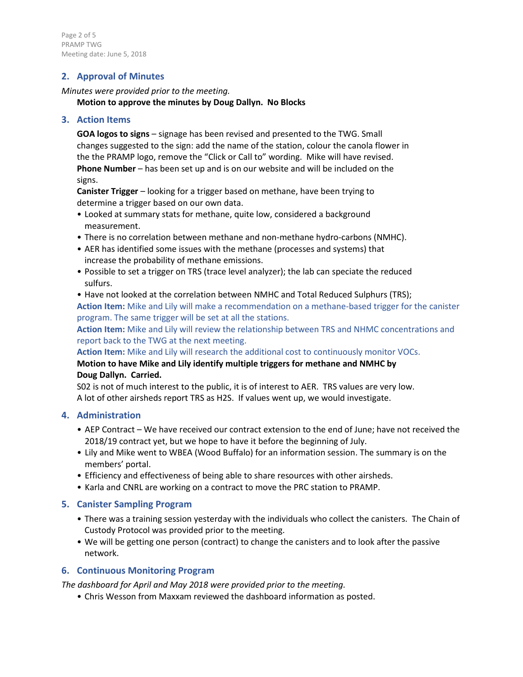Page 2 of 5 PRAMP TWG Meeting date: June 5, 2018

# **2. Approval of Minutes**

#### *Minutes were provided prior to the meeting.*

#### **Motion to approve the minutes by Doug Dallyn. No Blocks**

#### **3. Action Items**

**GOA logos to signs** – signage has been revised and presented to the TWG. Small changes suggested to the sign: add the name of the station, colour the canola flower in the the PRAMP logo, remove the "Click or Call to" wording. Mike will have revised. **Phone Number** – has been set up and is on our website and will be included on the signs.

**Canister Trigger** – looking for a trigger based on methane, have been trying to determine a trigger based on our own data.

- Looked at summary stats for methane, quite low, considered a background measurement.
- There is no correlation between methane and non-methane hydro-carbons (NMHC).
- AER has identified some issues with the methane (processes and systems) that increase the probability of methane emissions.
- Possible to set a trigger on TRS (trace level analyzer); the lab can speciate the reduced sulfurs.
- Have not looked at the correlation between NMHC and Total Reduced Sulphurs (TRS);

**Action Item:** Mike and Lily will make a recommendation on a methane-based trigger for the canister program. The same trigger will be set at all the stations.

**Action Item:** Mike and Lily will review the relationship between TRS and NHMC concentrations and report back to the TWG at the next meeting.

**Action Item:** Mike and Lily will research the additional cost to continuously monitor VOCs. **Motion to have Mike and Lily identify multiple triggers for methane and NMHC by Doug Dallyn. Carried.**

S02 is not of much interest to the public, it is of interest to AER. TRS values are very low. A lot of other airsheds report TRS as H2S. If values went up, we would investigate.

# **4. Administration**

- AEP Contract We have received our contract extension to the end of June; have not received the 2018/19 contract yet, but we hope to have it before the beginning of July.
- Lily and Mike went to WBEA (Wood Buffalo) for an information session. The summary is on the members' portal.
- Efficiency and effectiveness of being able to share resources with other airsheds.
- Karla and CNRL are working on a contract to move the PRC station to PRAMP.

# **5. Canister Sampling Program**

- There was a training session yesterday with the individuals who collect the canisters. The Chain of Custody Protocol was provided prior to the meeting.
- We will be getting one person (contract) to change the canisters and to look after the passive network.

# **6. Continuous Monitoring Program**

*The dashboard for April and May 2018 were provided prior to the meeting.*

• Chris Wesson from Maxxam reviewed the dashboard information as posted.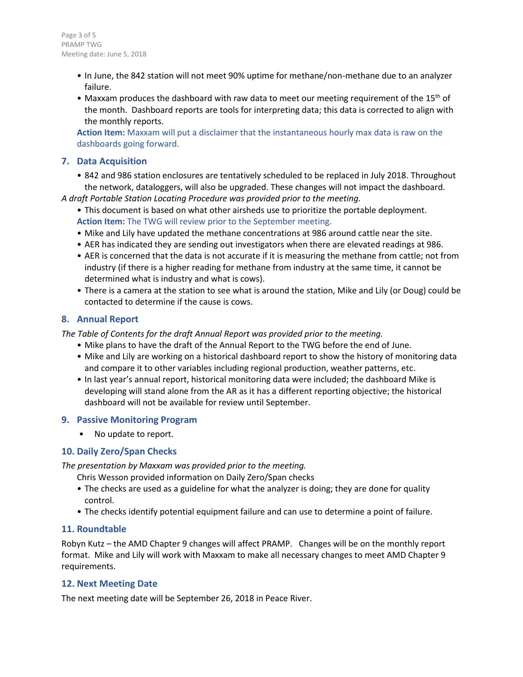- In June, the 842 station will not meet 90% uptime for methane/non-methane due to an analyzer failure.
- Maxxam produces the dashboard with raw data to meet our meeting requirement of the  $15<sup>th</sup>$  of the month. Dashboard reports are tools for interpreting data; this data is corrected to align with the monthly reports.

**Action Item:** Maxxam will put a disclaimer that the instantaneous hourly max data is raw on the dashboards going forward.

#### **7. Data Acquisition**

• 842 and 986 station enclosures are tentatively scheduled to be replaced in July 2018. Throughout the network, dataloggers, will also be upgraded. These changes will not impact the dashboard.

*A draft Portable Station Locating Procedure was provided prior to the meeting.*

- This document is based on what other airsheds use to prioritize the portable deployment. **Action Item:** The TWG will review prior to the September meeting.
- Mike and Lily have updated the methane concentrations at 986 around cattle near the site.
- AER has indicated they are sending out investigators when there are elevated readings at 986.
- AER is concerned that the data is not accurate if it is measuring the methane from cattle; not from industry (if there is a higher reading for methane from industry at the same time, it cannot be determined what is industry and what is cows).
- There is a camera at the station to see what is around the station, Mike and Lily (or Doug) could be contacted to determine if the cause is cows.

# **8. Annual Report**

*The Table of Contents for the draft Annual Report was provided prior to the meeting.*

- Mike plans to have the draft of the Annual Report to the TWG before the end of June.
- Mike and Lily are working on a historical dashboard report to show the history of monitoring data and compare it to other variables including regional production, weather patterns, etc.
- In last year's annual report, historical monitoring data were included; the dashboard Mike is developing will stand alone from the AR as it has a different reporting objective; the historical dashboard will not be available for review until September.

#### **9. Passive Monitoring Program**

• No update to report.

# **10. Daily Zero/Span Checks**

*The presentation by Maxxam was provided prior to the meeting.*

- Chris Wesson provided information on Daily Zero/Span checks
- The checks are used as a guideline for what the analyzer is doing; they are done for quality control.
- The checks identify potential equipment failure and can use to determine a point of failure.

# **11. Roundtable**

Robyn Kutz – the AMD Chapter 9 changes will affect PRAMP. Changes will be on the monthly report format. Mike and Lily will work with Maxxam to make all necessary changes to meet AMD Chapter 9 requirements.

# **12. Next Meeting Date**

The next meeting date will be September 26, 2018 in Peace River.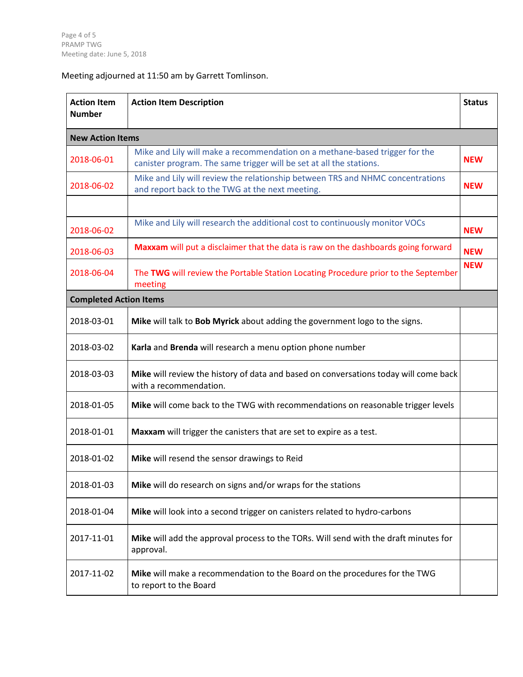# Meeting adjourned at 11:50 am by Garrett Tomlinson.

| <b>Action Item</b><br><b>Number</b> | <b>Action Item Description</b>                                                                                                                     | <b>Status</b> |
|-------------------------------------|----------------------------------------------------------------------------------------------------------------------------------------------------|---------------|
| <b>New Action Items</b>             |                                                                                                                                                    |               |
| 2018-06-01                          | Mike and Lily will make a recommendation on a methane-based trigger for the<br>canister program. The same trigger will be set at all the stations. | <b>NEW</b>    |
| 2018-06-02                          | Mike and Lily will review the relationship between TRS and NHMC concentrations<br>and report back to the TWG at the next meeting.                  | <b>NEW</b>    |
|                                     |                                                                                                                                                    |               |
| 2018-06-02                          | Mike and Lily will research the additional cost to continuously monitor VOCs                                                                       | <b>NEW</b>    |
| 2018-06-03                          | Maxxam will put a disclaimer that the data is raw on the dashboards going forward                                                                  | <b>NEW</b>    |
| 2018-06-04                          | The TWG will review the Portable Station Locating Procedure prior to the September<br>meeting                                                      | <b>NEW</b>    |
| <b>Completed Action Items</b>       |                                                                                                                                                    |               |
| 2018-03-01                          | Mike will talk to Bob Myrick about adding the government logo to the signs.                                                                        |               |
| 2018-03-02                          | Karla and Brenda will research a menu option phone number                                                                                          |               |
| 2018-03-03                          | Mike will review the history of data and based on conversations today will come back<br>with a recommendation.                                     |               |
| 2018-01-05                          | Mike will come back to the TWG with recommendations on reasonable trigger levels                                                                   |               |
| 2018-01-01                          | Maxxam will trigger the canisters that are set to expire as a test.                                                                                |               |
| 2018-01-02                          | Mike will resend the sensor drawings to Reid                                                                                                       |               |
| 2018-01-03                          | Mike will do research on signs and/or wraps for the stations                                                                                       |               |
| 2018-01-04                          | Mike will look into a second trigger on canisters related to hydro-carbons                                                                         |               |
| 2017-11-01                          | Mike will add the approval process to the TORs. Will send with the draft minutes for<br>approval.                                                  |               |
| 2017-11-02                          | Mike will make a recommendation to the Board on the procedures for the TWG<br>to report to the Board                                               |               |